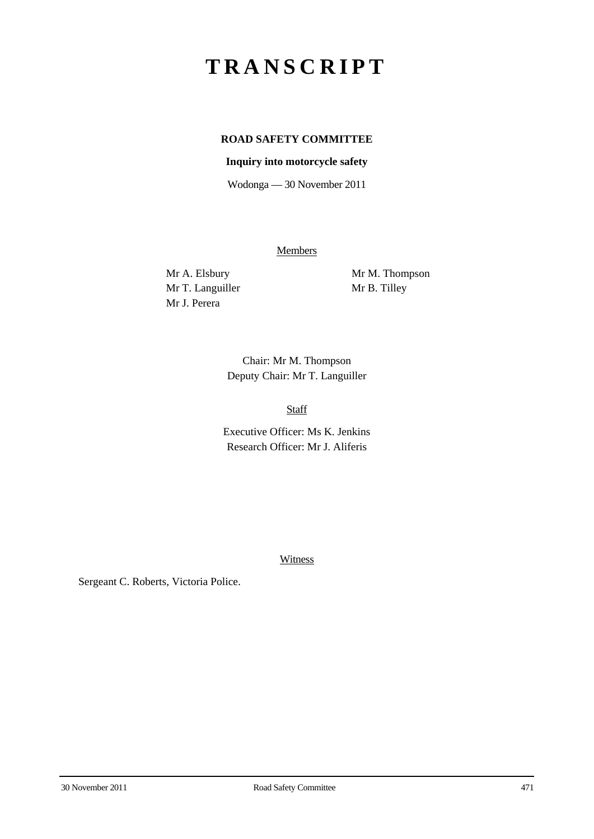## **TRANSCRIPT**

## **ROAD SAFETY COMMITTEE**

## **Inquiry into motorcycle safety**

Wodonga — 30 November 2011

**Members** 

Mr T. Languiller Mr B. Tilley Mr J. Perera

Mr A. Elsbury Mr M. Thompson

Chair: Mr M. Thompson Deputy Chair: Mr T. Languiller

Staff

Executive Officer: Ms K. Jenkins Research Officer: Mr J. Aliferis

Witness

Sergeant C. Roberts, Victoria Police.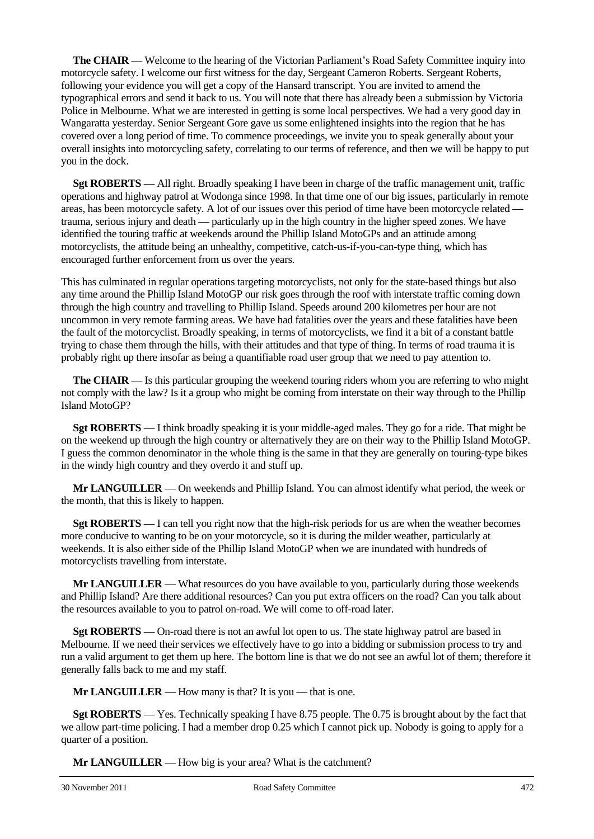**The CHAIR** — Welcome to the hearing of the Victorian Parliament's Road Safety Committee inquiry into motorcycle safety. I welcome our first witness for the day, Sergeant Cameron Roberts. Sergeant Roberts, following your evidence you will get a copy of the Hansard transcript. You are invited to amend the typographical errors and send it back to us. You will note that there has already been a submission by Victoria Police in Melbourne. What we are interested in getting is some local perspectives. We had a very good day in Wangaratta yesterday. Senior Sergeant Gore gave us some enlightened insights into the region that he has covered over a long period of time. To commence proceedings, we invite you to speak generally about your overall insights into motorcycling safety, correlating to our terms of reference, and then we will be happy to put you in the dock.

**Sgt ROBERTS** — All right. Broadly speaking I have been in charge of the traffic management unit, traffic operations and highway patrol at Wodonga since 1998. In that time one of our big issues, particularly in remote areas, has been motorcycle safety. A lot of our issues over this period of time have been motorcycle related trauma, serious injury and death — particularly up in the high country in the higher speed zones. We have identified the touring traffic at weekends around the Phillip Island MotoGPs and an attitude among motorcyclists, the attitude being an unhealthy, competitive, catch-us-if-you-can-type thing, which has encouraged further enforcement from us over the years.

This has culminated in regular operations targeting motorcyclists, not only for the state-based things but also any time around the Phillip Island MotoGP our risk goes through the roof with interstate traffic coming down through the high country and travelling to Phillip Island. Speeds around 200 kilometres per hour are not uncommon in very remote farming areas. We have had fatalities over the years and these fatalities have been the fault of the motorcyclist. Broadly speaking, in terms of motorcyclists, we find it a bit of a constant battle trying to chase them through the hills, with their attitudes and that type of thing. In terms of road trauma it is probably right up there insofar as being a quantifiable road user group that we need to pay attention to.

**The CHAIR** — Is this particular grouping the weekend touring riders whom you are referring to who might not comply with the law? Is it a group who might be coming from interstate on their way through to the Phillip Island MotoGP?

**Sgt ROBERTS** — I think broadly speaking it is your middle-aged males. They go for a ride. That might be on the weekend up through the high country or alternatively they are on their way to the Phillip Island MotoGP. I guess the common denominator in the whole thing is the same in that they are generally on touring-type bikes in the windy high country and they overdo it and stuff up.

**Mr LANGUILLER** — On weekends and Phillip Island. You can almost identify what period, the week or the month, that this is likely to happen.

**Sgt ROBERTS** — I can tell you right now that the high-risk periods for us are when the weather becomes more conducive to wanting to be on your motorcycle, so it is during the milder weather, particularly at weekends. It is also either side of the Phillip Island MotoGP when we are inundated with hundreds of motorcyclists travelling from interstate.

**Mr LANGUILLER** — What resources do you have available to you, particularly during those weekends and Phillip Island? Are there additional resources? Can you put extra officers on the road? Can you talk about the resources available to you to patrol on-road. We will come to off-road later.

**Sgt ROBERTS** — On-road there is not an awful lot open to us. The state highway patrol are based in Melbourne. If we need their services we effectively have to go into a bidding or submission process to try and run a valid argument to get them up here. The bottom line is that we do not see an awful lot of them; therefore it generally falls back to me and my staff.

**Mr LANGUILLER** — How many is that? It is you — that is one.

**Sgt ROBERTS** — Yes. Technically speaking I have 8.75 people. The 0.75 is brought about by the fact that we allow part-time policing. I had a member drop 0.25 which I cannot pick up. Nobody is going to apply for a quarter of a position.

**Mr LANGUILLER** — How big is your area? What is the catchment?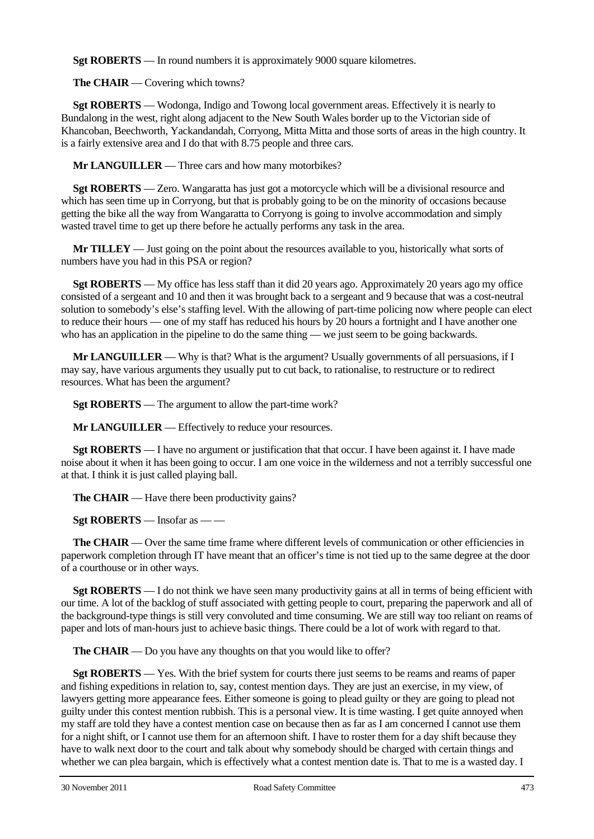**Sgt ROBERTS** — In round numbers it is approximately 9000 square kilometres.

**The CHAIR** — Covering which towns?

**Sgt ROBERTS** — Wodonga, Indigo and Towong local government areas. Effectively it is nearly to Bundalong in the west, right along adjacent to the New South Wales border up to the Victorian side of Khancoban, Beechworth, Yackandandah, Corryong, Mitta Mitta and those sorts of areas in the high country. It is a fairly extensive area and I do that with 8.75 people and three cars.

**Mr LANGUILLER** — Three cars and how many motorbikes?

**Sgt ROBERTS** — Zero. Wangaratta has just got a motorcycle which will be a divisional resource and which has seen time up in Corryong, but that is probably going to be on the minority of occasions because getting the bike all the way from Wangaratta to Corryong is going to involve accommodation and simply wasted travel time to get up there before he actually performs any task in the area.

**Mr TILLEY** — Just going on the point about the resources available to you, historically what sorts of numbers have you had in this PSA or region?

**Sgt ROBERTS** — My office has less staff than it did 20 years ago. Approximately 20 years ago my office consisted of a sergeant and 10 and then it was brought back to a sergeant and 9 because that was a cost-neutral solution to somebody's else's staffing level. With the allowing of part-time policing now where people can elect to reduce their hours — one of my staff has reduced his hours by 20 hours a fortnight and I have another one who has an application in the pipeline to do the same thing — we just seem to be going backwards.

**Mr LANGUILLER** — Why is that? What is the argument? Usually governments of all persuasions, if I may say, have various arguments they usually put to cut back, to rationalise, to restructure or to redirect resources. What has been the argument?

**Sgt ROBERTS** — The argument to allow the part-time work?

**Mr LANGUILLER** — Effectively to reduce your resources.

**Sgt ROBERTS** — I have no argument or justification that that occur. I have been against it. I have made noise about it when it has been going to occur. I am one voice in the wilderness and not a terribly successful one at that. I think it is just called playing ball.

**The CHAIR** — Have there been productivity gains?

**Sgt ROBERTS** — Insofar as — —

**The CHAIR** — Over the same time frame where different levels of communication or other efficiencies in paperwork completion through IT have meant that an officer's time is not tied up to the same degree at the door of a courthouse or in other ways.

**Sgt ROBERTS** — I do not think we have seen many productivity gains at all in terms of being efficient with our time. A lot of the backlog of stuff associated with getting people to court, preparing the paperwork and all of the background-type things is still very convoluted and time consuming. We are still way too reliant on reams of paper and lots of man-hours just to achieve basic things. There could be a lot of work with regard to that.

**The CHAIR** — Do you have any thoughts on that you would like to offer?

**Sgt ROBERTS** — Yes. With the brief system for courts there just seems to be reams and reams of paper and fishing expeditions in relation to, say, contest mention days. They are just an exercise, in my view, of lawyers getting more appearance fees. Either someone is going to plead guilty or they are going to plead not guilty under this contest mention rubbish. This is a personal view. It is time wasting. I get quite annoyed when my staff are told they have a contest mention case on because then as far as I am concerned I cannot use them for a night shift, or I cannot use them for an afternoon shift. I have to roster them for a day shift because they have to walk next door to the court and talk about why somebody should be charged with certain things and whether we can plea bargain, which is effectively what a contest mention date is. That to me is a wasted day. I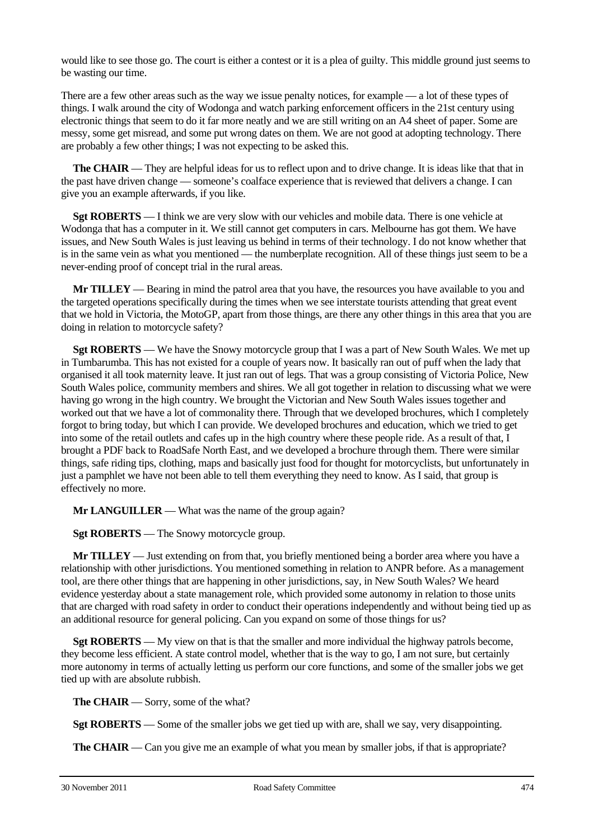would like to see those go. The court is either a contest or it is a plea of guilty. This middle ground just seems to be wasting our time.

There are a few other areas such as the way we issue penalty notices, for example — a lot of these types of things. I walk around the city of Wodonga and watch parking enforcement officers in the 21st century using electronic things that seem to do it far more neatly and we are still writing on an A4 sheet of paper. Some are messy, some get misread, and some put wrong dates on them. We are not good at adopting technology. There are probably a few other things; I was not expecting to be asked this.

**The CHAIR** — They are helpful ideas for us to reflect upon and to drive change. It is ideas like that that in the past have driven change — someone's coalface experience that is reviewed that delivers a change. I can give you an example afterwards, if you like.

**Sgt ROBERTS** — I think we are very slow with our vehicles and mobile data. There is one vehicle at Wodonga that has a computer in it. We still cannot get computers in cars. Melbourne has got them. We have issues, and New South Wales is just leaving us behind in terms of their technology. I do not know whether that is in the same vein as what you mentioned — the numberplate recognition. All of these things just seem to be a never-ending proof of concept trial in the rural areas.

**Mr TILLEY** — Bearing in mind the patrol area that you have, the resources you have available to you and the targeted operations specifically during the times when we see interstate tourists attending that great event that we hold in Victoria, the MotoGP, apart from those things, are there any other things in this area that you are doing in relation to motorcycle safety?

**Sgt ROBERTS** — We have the Snowy motorcycle group that I was a part of New South Wales. We met up in Tumbarumba. This has not existed for a couple of years now. It basically ran out of puff when the lady that organised it all took maternity leave. It just ran out of legs. That was a group consisting of Victoria Police, New South Wales police, community members and shires. We all got together in relation to discussing what we were having go wrong in the high country. We brought the Victorian and New South Wales issues together and worked out that we have a lot of commonality there. Through that we developed brochures, which I completely forgot to bring today, but which I can provide. We developed brochures and education, which we tried to get into some of the retail outlets and cafes up in the high country where these people ride. As a result of that, I brought a PDF back to RoadSafe North East, and we developed a brochure through them. There were similar things, safe riding tips, clothing, maps and basically just food for thought for motorcyclists, but unfortunately in just a pamphlet we have not been able to tell them everything they need to know. As I said, that group is effectively no more.

**Mr LANGUILLER** — What was the name of the group again?

**Sgt ROBERTS** — The Snowy motorcycle group.

**Mr TILLEY** — Just extending on from that, you briefly mentioned being a border area where you have a relationship with other jurisdictions. You mentioned something in relation to ANPR before. As a management tool, are there other things that are happening in other jurisdictions, say, in New South Wales? We heard evidence yesterday about a state management role, which provided some autonomy in relation to those units that are charged with road safety in order to conduct their operations independently and without being tied up as an additional resource for general policing. Can you expand on some of those things for us?

**Sgt ROBERTS** — My view on that is that the smaller and more individual the highway patrols become, they become less efficient. A state control model, whether that is the way to go, I am not sure, but certainly more autonomy in terms of actually letting us perform our core functions, and some of the smaller jobs we get tied up with are absolute rubbish.

**The CHAIR** — Sorry, some of the what?

**Sgt ROBERTS** — Some of the smaller jobs we get tied up with are, shall we say, very disappointing.

**The CHAIR** — Can you give me an example of what you mean by smaller jobs, if that is appropriate?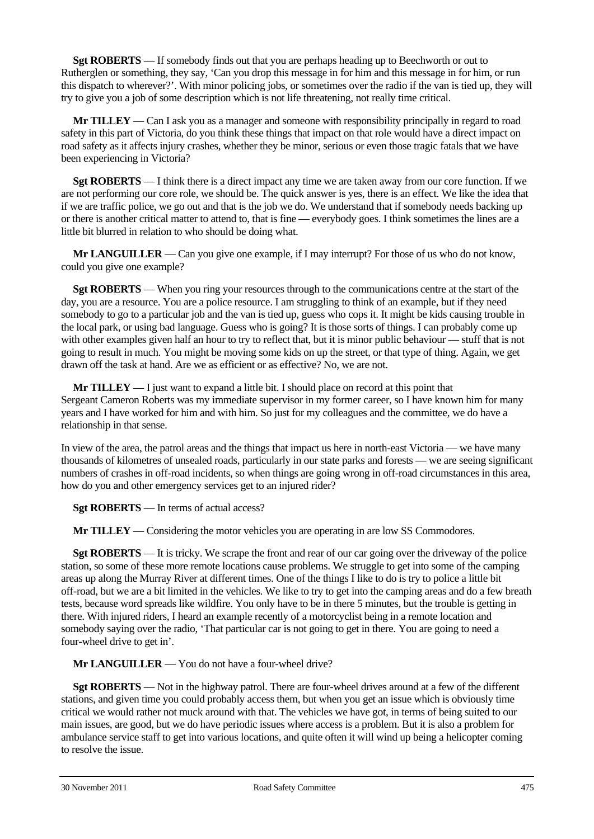**Sgt ROBERTS** — If somebody finds out that you are perhaps heading up to Beechworth or out to Rutherglen or something, they say, 'Can you drop this message in for him and this message in for him, or run this dispatch to wherever?'. With minor policing jobs, or sometimes over the radio if the van is tied up, they will try to give you a job of some description which is not life threatening, not really time critical.

**Mr TILLEY** — Can I ask you as a manager and someone with responsibility principally in regard to road safety in this part of Victoria, do you think these things that impact on that role would have a direct impact on road safety as it affects injury crashes, whether they be minor, serious or even those tragic fatals that we have been experiencing in Victoria?

**Sgt ROBERTS** — I think there is a direct impact any time we are taken away from our core function. If we are not performing our core role, we should be. The quick answer is yes, there is an effect. We like the idea that if we are traffic police, we go out and that is the job we do. We understand that if somebody needs backing up or there is another critical matter to attend to, that is fine — everybody goes. I think sometimes the lines are a little bit blurred in relation to who should be doing what.

**Mr LANGUILLER** — Can you give one example, if I may interrupt? For those of us who do not know, could you give one example?

**Sgt ROBERTS** — When you ring your resources through to the communications centre at the start of the day, you are a resource. You are a police resource. I am struggling to think of an example, but if they need somebody to go to a particular job and the van is tied up, guess who cops it. It might be kids causing trouble in the local park, or using bad language. Guess who is going? It is those sorts of things. I can probably come up with other examples given half an hour to try to reflect that, but it is minor public behaviour — stuff that is not going to result in much. You might be moving some kids on up the street, or that type of thing. Again, we get drawn off the task at hand. Are we as efficient or as effective? No, we are not.

**Mr TILLEY** — I just want to expand a little bit. I should place on record at this point that Sergeant Cameron Roberts was my immediate supervisor in my former career, so I have known him for many years and I have worked for him and with him. So just for my colleagues and the committee, we do have a relationship in that sense.

In view of the area, the patrol areas and the things that impact us here in north-east Victoria — we have many thousands of kilometres of unsealed roads, particularly in our state parks and forests — we are seeing significant numbers of crashes in off-road incidents, so when things are going wrong in off-road circumstances in this area, how do you and other emergency services get to an injured rider?

**Sgt ROBERTS** — In terms of actual access?

**Mr TILLEY** — Considering the motor vehicles you are operating in are low SS Commodores.

**Sgt ROBERTS** — It is tricky. We scrape the front and rear of our car going over the driveway of the police station, so some of these more remote locations cause problems. We struggle to get into some of the camping areas up along the Murray River at different times. One of the things I like to do is try to police a little bit off-road, but we are a bit limited in the vehicles. We like to try to get into the camping areas and do a few breath tests, because word spreads like wildfire. You only have to be in there 5 minutes, but the trouble is getting in there. With injured riders, I heard an example recently of a motorcyclist being in a remote location and somebody saying over the radio, 'That particular car is not going to get in there. You are going to need a four-wheel drive to get in'.

**Mr LANGUILLER** — You do not have a four-wheel drive?

**Sgt ROBERTS** — Not in the highway patrol. There are four-wheel drives around at a few of the different stations, and given time you could probably access them, but when you get an issue which is obviously time critical we would rather not muck around with that. The vehicles we have got, in terms of being suited to our main issues, are good, but we do have periodic issues where access is a problem. But it is also a problem for ambulance service staff to get into various locations, and quite often it will wind up being a helicopter coming to resolve the issue.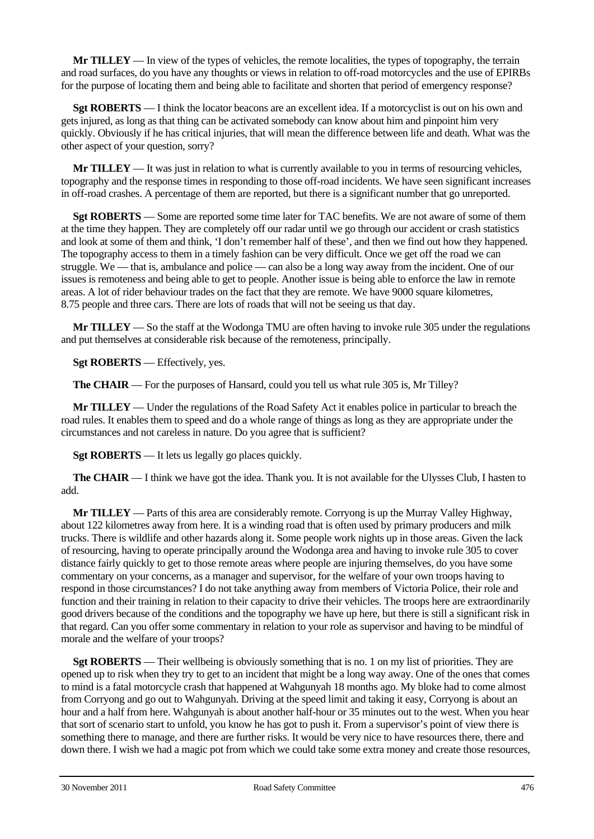**Mr TILLEY** — In view of the types of vehicles, the remote localities, the types of topography, the terrain and road surfaces, do you have any thoughts or views in relation to off-road motorcycles and the use of EPIRBs for the purpose of locating them and being able to facilitate and shorten that period of emergency response?

**Sgt ROBERTS** — I think the locator beacons are an excellent idea. If a motorcyclist is out on his own and gets injured, as long as that thing can be activated somebody can know about him and pinpoint him very quickly. Obviously if he has critical injuries, that will mean the difference between life and death. What was the other aspect of your question, sorry?

**Mr TILLEY** — It was just in relation to what is currently available to you in terms of resourcing vehicles, topography and the response times in responding to those off-road incidents. We have seen significant increases in off-road crashes. A percentage of them are reported, but there is a significant number that go unreported.

**Sgt ROBERTS** — Some are reported some time later for TAC benefits. We are not aware of some of them at the time they happen. They are completely off our radar until we go through our accident or crash statistics and look at some of them and think, 'I don't remember half of these', and then we find out how they happened. The topography access to them in a timely fashion can be very difficult. Once we get off the road we can struggle. We — that is, ambulance and police — can also be a long way away from the incident. One of our issues is remoteness and being able to get to people. Another issue is being able to enforce the law in remote areas. A lot of rider behaviour trades on the fact that they are remote. We have 9000 square kilometres, 8.75 people and three cars. There are lots of roads that will not be seeing us that day.

**Mr TILLEY** — So the staff at the Wodonga TMU are often having to invoke rule 305 under the regulations and put themselves at considerable risk because of the remoteness, principally.

**Sgt ROBERTS** — Effectively, yes.

**The CHAIR** — For the purposes of Hansard, could you tell us what rule 305 is, Mr Tilley?

**Mr TILLEY** — Under the regulations of the Road Safety Act it enables police in particular to breach the road rules. It enables them to speed and do a whole range of things as long as they are appropriate under the circumstances and not careless in nature. Do you agree that is sufficient?

**Sgt ROBERTS** — It lets us legally go places quickly.

**The CHAIR** — I think we have got the idea. Thank you. It is not available for the Ulysses Club, I hasten to add.

**Mr TILLEY** — Parts of this area are considerably remote. Corryong is up the Murray Valley Highway, about 122 kilometres away from here. It is a winding road that is often used by primary producers and milk trucks. There is wildlife and other hazards along it. Some people work nights up in those areas. Given the lack of resourcing, having to operate principally around the Wodonga area and having to invoke rule 305 to cover distance fairly quickly to get to those remote areas where people are injuring themselves, do you have some commentary on your concerns, as a manager and supervisor, for the welfare of your own troops having to respond in those circumstances? I do not take anything away from members of Victoria Police, their role and function and their training in relation to their capacity to drive their vehicles. The troops here are extraordinarily good drivers because of the conditions and the topography we have up here, but there is still a significant risk in that regard. Can you offer some commentary in relation to your role as supervisor and having to be mindful of morale and the welfare of your troops?

**Sgt ROBERTS** — Their wellbeing is obviously something that is no. 1 on my list of priorities. They are opened up to risk when they try to get to an incident that might be a long way away. One of the ones that comes to mind is a fatal motorcycle crash that happened at Wahgunyah 18 months ago. My bloke had to come almost from Corryong and go out to Wahgunyah. Driving at the speed limit and taking it easy, Corryong is about an hour and a half from here. Wahgunyah is about another half-hour or 35 minutes out to the west. When you hear that sort of scenario start to unfold, you know he has got to push it. From a supervisor's point of view there is something there to manage, and there are further risks. It would be very nice to have resources there, there and down there. I wish we had a magic pot from which we could take some extra money and create those resources,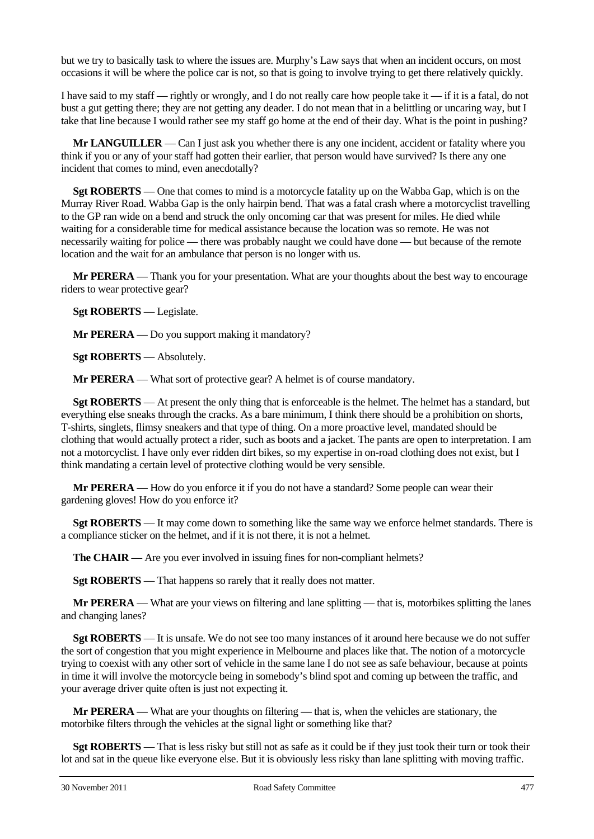but we try to basically task to where the issues are. Murphy's Law says that when an incident occurs, on most occasions it will be where the police car is not, so that is going to involve trying to get there relatively quickly.

I have said to my staff — rightly or wrongly, and I do not really care how people take it — if it is a fatal, do not bust a gut getting there; they are not getting any deader. I do not mean that in a belittling or uncaring way, but I take that line because I would rather see my staff go home at the end of their day. What is the point in pushing?

**Mr LANGUILLER** — Can I just ask you whether there is any one incident, accident or fatality where you think if you or any of your staff had gotten their earlier, that person would have survived? Is there any one incident that comes to mind, even anecdotally?

**Sgt ROBERTS** — One that comes to mind is a motorcycle fatality up on the Wabba Gap, which is on the Murray River Road. Wabba Gap is the only hairpin bend. That was a fatal crash where a motorcyclist travelling to the GP ran wide on a bend and struck the only oncoming car that was present for miles. He died while waiting for a considerable time for medical assistance because the location was so remote. He was not necessarily waiting for police — there was probably naught we could have done — but because of the remote location and the wait for an ambulance that person is no longer with us.

**Mr PERERA** — Thank you for your presentation. What are your thoughts about the best way to encourage riders to wear protective gear?

**Sgt ROBERTS** — Legislate.

**Mr PERERA** — Do you support making it mandatory?

**Sgt ROBERTS** — Absolutely.

**Mr PERERA** — What sort of protective gear? A helmet is of course mandatory.

**Sgt ROBERTS** — At present the only thing that is enforceable is the helmet. The helmet has a standard, but everything else sneaks through the cracks. As a bare minimum, I think there should be a prohibition on shorts, T-shirts, singlets, flimsy sneakers and that type of thing. On a more proactive level, mandated should be clothing that would actually protect a rider, such as boots and a jacket. The pants are open to interpretation. I am not a motorcyclist. I have only ever ridden dirt bikes, so my expertise in on-road clothing does not exist, but I think mandating a certain level of protective clothing would be very sensible.

**Mr PERERA** — How do you enforce it if you do not have a standard? Some people can wear their gardening gloves! How do you enforce it?

**Sgt ROBERTS** — It may come down to something like the same way we enforce helmet standards. There is a compliance sticker on the helmet, and if it is not there, it is not a helmet.

**The CHAIR** — Are you ever involved in issuing fines for non-compliant helmets?

**Sgt ROBERTS** — That happens so rarely that it really does not matter.

**Mr PERERA** — What are your views on filtering and lane splitting — that is, motorbikes splitting the lanes and changing lanes?

**Sgt ROBERTS** — It is unsafe. We do not see too many instances of it around here because we do not suffer the sort of congestion that you might experience in Melbourne and places like that. The notion of a motorcycle trying to coexist with any other sort of vehicle in the same lane I do not see as safe behaviour, because at points in time it will involve the motorcycle being in somebody's blind spot and coming up between the traffic, and your average driver quite often is just not expecting it.

**Mr PERERA** — What are your thoughts on filtering — that is, when the vehicles are stationary, the motorbike filters through the vehicles at the signal light or something like that?

**Sgt ROBERTS** — That is less risky but still not as safe as it could be if they just took their turn or took their lot and sat in the queue like everyone else. But it is obviously less risky than lane splitting with moving traffic.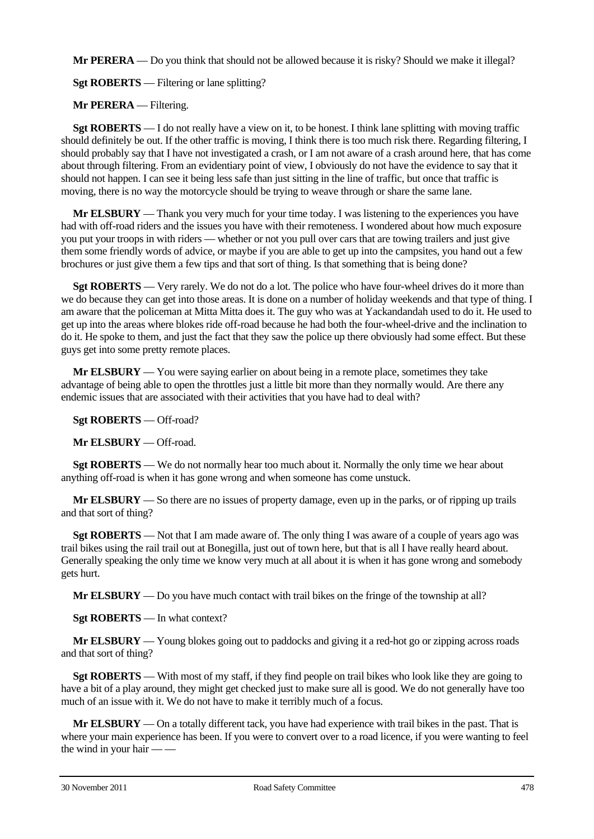**Mr PERERA** — Do you think that should not be allowed because it is risky? Should we make it illegal?

**Sgt ROBERTS** — Filtering or lane splitting?

**Mr PERERA** — Filtering.

**Sgt ROBERTS** — I do not really have a view on it, to be honest. I think lane splitting with moving traffic should definitely be out. If the other traffic is moving, I think there is too much risk there. Regarding filtering, I should probably say that I have not investigated a crash, or I am not aware of a crash around here, that has come about through filtering. From an evidentiary point of view, I obviously do not have the evidence to say that it should not happen. I can see it being less safe than just sitting in the line of traffic, but once that traffic is moving, there is no way the motorcycle should be trying to weave through or share the same lane.

**Mr ELSBURY** — Thank you very much for your time today. I was listening to the experiences you have had with off-road riders and the issues you have with their remoteness. I wondered about how much exposure you put your troops in with riders — whether or not you pull over cars that are towing trailers and just give them some friendly words of advice, or maybe if you are able to get up into the campsites, you hand out a few brochures or just give them a few tips and that sort of thing. Is that something that is being done?

**Sgt ROBERTS** — Very rarely. We do not do a lot. The police who have four-wheel drives do it more than we do because they can get into those areas. It is done on a number of holiday weekends and that type of thing. I am aware that the policeman at Mitta Mitta does it. The guy who was at Yackandandah used to do it. He used to get up into the areas where blokes ride off-road because he had both the four-wheel-drive and the inclination to do it. He spoke to them, and just the fact that they saw the police up there obviously had some effect. But these guys get into some pretty remote places.

**Mr ELSBURY** — You were saying earlier on about being in a remote place, sometimes they take advantage of being able to open the throttles just a little bit more than they normally would. Are there any endemic issues that are associated with their activities that you have had to deal with?

**Sgt ROBERTS** — Off-road?

**Mr ELSBURY** — Off-road.

**Sgt ROBERTS** — We do not normally hear too much about it. Normally the only time we hear about anything off-road is when it has gone wrong and when someone has come unstuck.

**Mr ELSBURY** — So there are no issues of property damage, even up in the parks, or of ripping up trails and that sort of thing?

**Sgt ROBERTS** — Not that I am made aware of. The only thing I was aware of a couple of years ago was trail bikes using the rail trail out at Bonegilla, just out of town here, but that is all I have really heard about. Generally speaking the only time we know very much at all about it is when it has gone wrong and somebody gets hurt.

**Mr ELSBURY** — Do you have much contact with trail bikes on the fringe of the township at all?

**Sgt ROBERTS** — In what context?

**Mr ELSBURY** — Young blokes going out to paddocks and giving it a red-hot go or zipping across roads and that sort of thing?

**Sgt ROBERTS** — With most of my staff, if they find people on trail bikes who look like they are going to have a bit of a play around, they might get checked just to make sure all is good. We do not generally have too much of an issue with it. We do not have to make it terribly much of a focus.

**Mr ELSBURY** — On a totally different tack, you have had experience with trail bikes in the past. That is where your main experience has been. If you were to convert over to a road licence, if you were wanting to feel the wind in your hair — —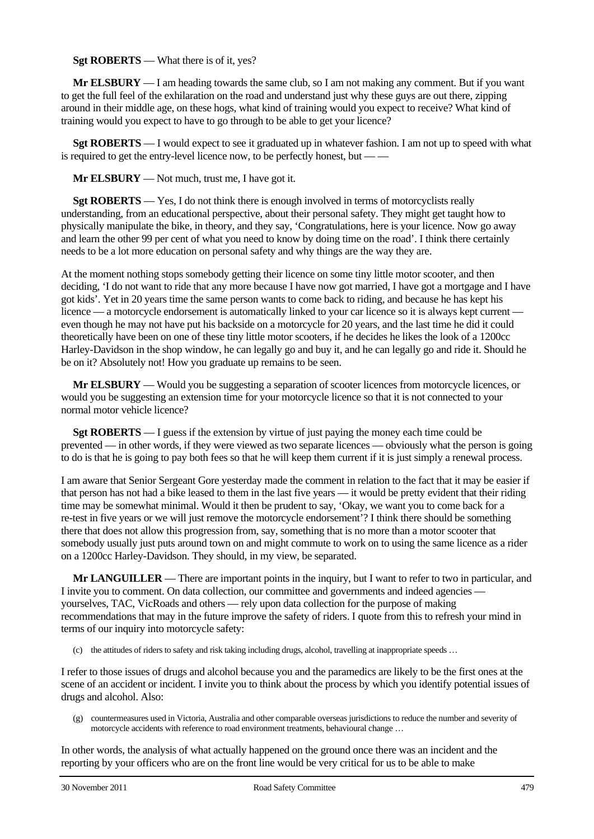## **Sgt ROBERTS** — What there is of it, yes?

**Mr ELSBURY** — I am heading towards the same club, so I am not making any comment. But if you want to get the full feel of the exhilaration on the road and understand just why these guys are out there, zipping around in their middle age, on these hogs, what kind of training would you expect to receive? What kind of training would you expect to have to go through to be able to get your licence?

**Sgt ROBERTS** — I would expect to see it graduated up in whatever fashion. I am not up to speed with what is required to get the entry-level licence now, to be perfectly honest, but — —

**Mr ELSBURY** — Not much, trust me, I have got it.

**Sgt ROBERTS** — Yes, I do not think there is enough involved in terms of motorcyclists really understanding, from an educational perspective, about their personal safety. They might get taught how to physically manipulate the bike, in theory, and they say, 'Congratulations, here is your licence. Now go away and learn the other 99 per cent of what you need to know by doing time on the road'. I think there certainly needs to be a lot more education on personal safety and why things are the way they are.

At the moment nothing stops somebody getting their licence on some tiny little motor scooter, and then deciding, 'I do not want to ride that any more because I have now got married, I have got a mortgage and I have got kids'. Yet in 20 years time the same person wants to come back to riding, and because he has kept his licence — a motorcycle endorsement is automatically linked to your car licence so it is always kept current even though he may not have put his backside on a motorcycle for 20 years, and the last time he did it could theoretically have been on one of these tiny little motor scooters, if he decides he likes the look of a 1200cc Harley-Davidson in the shop window, he can legally go and buy it, and he can legally go and ride it. Should he be on it? Absolutely not! How you graduate up remains to be seen.

**Mr ELSBURY** — Would you be suggesting a separation of scooter licences from motorcycle licences, or would you be suggesting an extension time for your motorcycle licence so that it is not connected to your normal motor vehicle licence?

**Sgt ROBERTS** — I guess if the extension by virtue of just paying the money each time could be prevented — in other words, if they were viewed as two separate licences — obviously what the person is going to do is that he is going to pay both fees so that he will keep them current if it is just simply a renewal process.

I am aware that Senior Sergeant Gore yesterday made the comment in relation to the fact that it may be easier if that person has not had a bike leased to them in the last five years — it would be pretty evident that their riding time may be somewhat minimal. Would it then be prudent to say, 'Okay, we want you to come back for a re-test in five years or we will just remove the motorcycle endorsement'? I think there should be something there that does not allow this progression from, say, something that is no more than a motor scooter that somebody usually just puts around town on and might commute to work on to using the same licence as a rider on a 1200cc Harley-Davidson. They should, in my view, be separated.

**Mr LANGUILLER** — There are important points in the inquiry, but I want to refer to two in particular, and I invite you to comment. On data collection, our committee and governments and indeed agencies yourselves, TAC, VicRoads and others — rely upon data collection for the purpose of making recommendations that may in the future improve the safety of riders. I quote from this to refresh your mind in terms of our inquiry into motorcycle safety:

(c) the attitudes of riders to safety and risk taking including drugs, alcohol, travelling at inappropriate speeds …

I refer to those issues of drugs and alcohol because you and the paramedics are likely to be the first ones at the scene of an accident or incident. I invite you to think about the process by which you identify potential issues of drugs and alcohol. Also:

(g) countermeasures used in Victoria, Australia and other comparable overseas jurisdictions to reduce the number and severity of motorcycle accidents with reference to road environment treatments, behavioural change …

In other words, the analysis of what actually happened on the ground once there was an incident and the reporting by your officers who are on the front line would be very critical for us to be able to make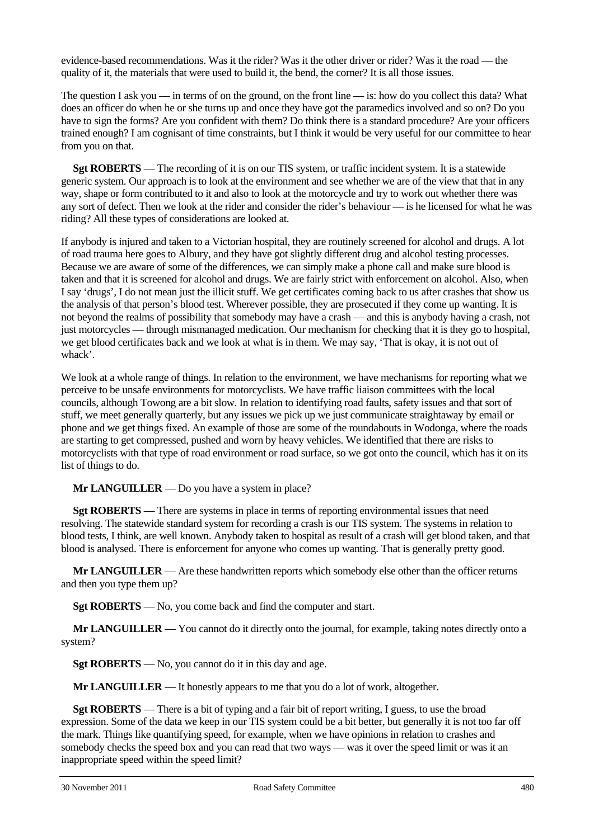evidence-based recommendations. Was it the rider? Was it the other driver or rider? Was it the road — the quality of it, the materials that were used to build it, the bend, the corner? It is all those issues.

The question I ask you — in terms of on the ground, on the front line — is: how do you collect this data? What does an officer do when he or she turns up and once they have got the paramedics involved and so on? Do you have to sign the forms? Are you confident with them? Do think there is a standard procedure? Are your officers trained enough? I am cognisant of time constraints, but I think it would be very useful for our committee to hear from you on that.

**Sgt ROBERTS** — The recording of it is on our TIS system, or traffic incident system. It is a statewide generic system. Our approach is to look at the environment and see whether we are of the view that that in any way, shape or form contributed to it and also to look at the motorcycle and try to work out whether there was any sort of defect. Then we look at the rider and consider the rider's behaviour — is he licensed for what he was riding? All these types of considerations are looked at.

If anybody is injured and taken to a Victorian hospital, they are routinely screened for alcohol and drugs. A lot of road trauma here goes to Albury, and they have got slightly different drug and alcohol testing processes. Because we are aware of some of the differences, we can simply make a phone call and make sure blood is taken and that it is screened for alcohol and drugs. We are fairly strict with enforcement on alcohol. Also, when I say 'drugs', I do not mean just the illicit stuff. We get certificates coming back to us after crashes that show us the analysis of that person's blood test. Wherever possible, they are prosecuted if they come up wanting. It is not beyond the realms of possibility that somebody may have a crash — and this is anybody having a crash, not just motorcycles — through mismanaged medication. Our mechanism for checking that it is they go to hospital, we get blood certificates back and we look at what is in them. We may say, 'That is okay, it is not out of whack'.

We look at a whole range of things. In relation to the environment, we have mechanisms for reporting what we perceive to be unsafe environments for motorcyclists. We have traffic liaison committees with the local councils, although Towong are a bit slow. In relation to identifying road faults, safety issues and that sort of stuff, we meet generally quarterly, but any issues we pick up we just communicate straightaway by email or phone and we get things fixed. An example of those are some of the roundabouts in Wodonga, where the roads are starting to get compressed, pushed and worn by heavy vehicles. We identified that there are risks to motorcyclists with that type of road environment or road surface, so we got onto the council, which has it on its list of things to do.

**Mr LANGUILLER** — Do you have a system in place?

**Sgt ROBERTS** — There are systems in place in terms of reporting environmental issues that need resolving. The statewide standard system for recording a crash is our TIS system. The systems in relation to blood tests, I think, are well known. Anybody taken to hospital as result of a crash will get blood taken, and that blood is analysed. There is enforcement for anyone who comes up wanting. That is generally pretty good.

**Mr LANGUILLER** — Are these handwritten reports which somebody else other than the officer returns and then you type them up?

**Sgt ROBERTS** — No, you come back and find the computer and start.

**Mr LANGUILLER** — You cannot do it directly onto the journal, for example, taking notes directly onto a system?

**Sgt ROBERTS** — No, you cannot do it in this day and age.

**Mr LANGUILLER** — It honestly appears to me that you do a lot of work, altogether.

**Sgt ROBERTS** — There is a bit of typing and a fair bit of report writing, I guess, to use the broad expression. Some of the data we keep in our TIS system could be a bit better, but generally it is not too far off the mark. Things like quantifying speed, for example, when we have opinions in relation to crashes and somebody checks the speed box and you can read that two ways — was it over the speed limit or was it an inappropriate speed within the speed limit?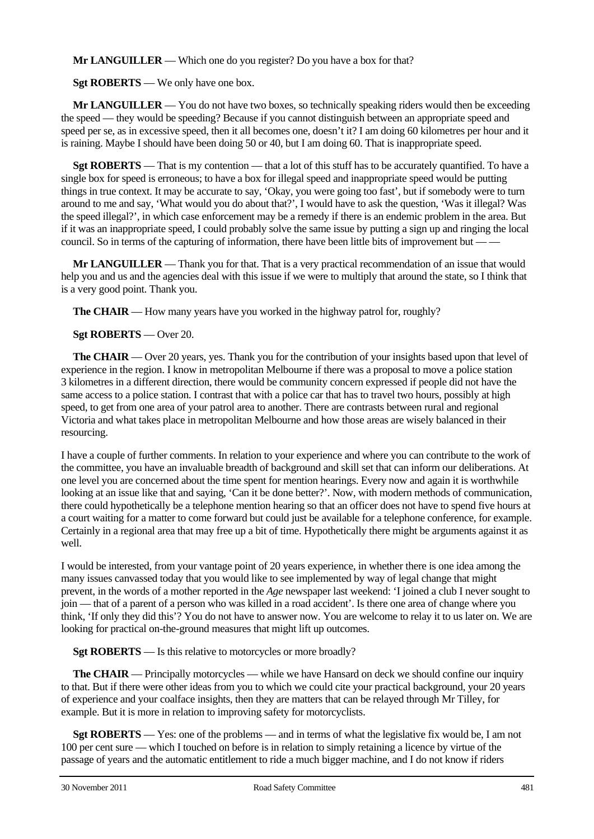**Mr LANGUILLER** — Which one do you register? Do you have a box for that?

**Sgt ROBERTS** — We only have one box.

**Mr LANGUILLER** — You do not have two boxes, so technically speaking riders would then be exceeding the speed — they would be speeding? Because if you cannot distinguish between an appropriate speed and speed per se, as in excessive speed, then it all becomes one, doesn't it? I am doing 60 kilometres per hour and it is raining. Maybe I should have been doing 50 or 40, but I am doing 60. That is inappropriate speed.

**Sgt ROBERTS** — That is my contention — that a lot of this stuff has to be accurately quantified. To have a single box for speed is erroneous; to have a box for illegal speed and inappropriate speed would be putting things in true context. It may be accurate to say, 'Okay, you were going too fast', but if somebody were to turn around to me and say, 'What would you do about that?', I would have to ask the question, 'Was it illegal? Was the speed illegal?', in which case enforcement may be a remedy if there is an endemic problem in the area. But if it was an inappropriate speed, I could probably solve the same issue by putting a sign up and ringing the local council. So in terms of the capturing of information, there have been little bits of improvement but — —

**Mr LANGUILLER** — Thank you for that. That is a very practical recommendation of an issue that would help you and us and the agencies deal with this issue if we were to multiply that around the state, so I think that is a very good point. Thank you.

**The CHAIR** — How many years have you worked in the highway patrol for, roughly?

**Sgt ROBERTS** — Over 20.

**The CHAIR** — Over 20 years, yes. Thank you for the contribution of your insights based upon that level of experience in the region. I know in metropolitan Melbourne if there was a proposal to move a police station 3 kilometres in a different direction, there would be community concern expressed if people did not have the same access to a police station. I contrast that with a police car that has to travel two hours, possibly at high speed, to get from one area of your patrol area to another. There are contrasts between rural and regional Victoria and what takes place in metropolitan Melbourne and how those areas are wisely balanced in their resourcing.

I have a couple of further comments. In relation to your experience and where you can contribute to the work of the committee, you have an invaluable breadth of background and skill set that can inform our deliberations. At one level you are concerned about the time spent for mention hearings. Every now and again it is worthwhile looking at an issue like that and saying, 'Can it be done better?'. Now, with modern methods of communication, there could hypothetically be a telephone mention hearing so that an officer does not have to spend five hours at a court waiting for a matter to come forward but could just be available for a telephone conference, for example. Certainly in a regional area that may free up a bit of time. Hypothetically there might be arguments against it as well.

I would be interested, from your vantage point of 20 years experience, in whether there is one idea among the many issues canvassed today that you would like to see implemented by way of legal change that might prevent, in the words of a mother reported in the *Age* newspaper last weekend: 'I joined a club I never sought to join — that of a parent of a person who was killed in a road accident'. Is there one area of change where you think, 'If only they did this'? You do not have to answer now. You are welcome to relay it to us later on. We are looking for practical on-the-ground measures that might lift up outcomes.

**Sgt ROBERTS** — Is this relative to motorcycles or more broadly?

**The CHAIR** — Principally motorcycles — while we have Hansard on deck we should confine our inquiry to that. But if there were other ideas from you to which we could cite your practical background, your 20 years of experience and your coalface insights, then they are matters that can be relayed through Mr Tilley, for example. But it is more in relation to improving safety for motorcyclists.

**Sgt ROBERTS** — Yes: one of the problems — and in terms of what the legislative fix would be, I am not 100 per cent sure — which I touched on before is in relation to simply retaining a licence by virtue of the passage of years and the automatic entitlement to ride a much bigger machine, and I do not know if riders